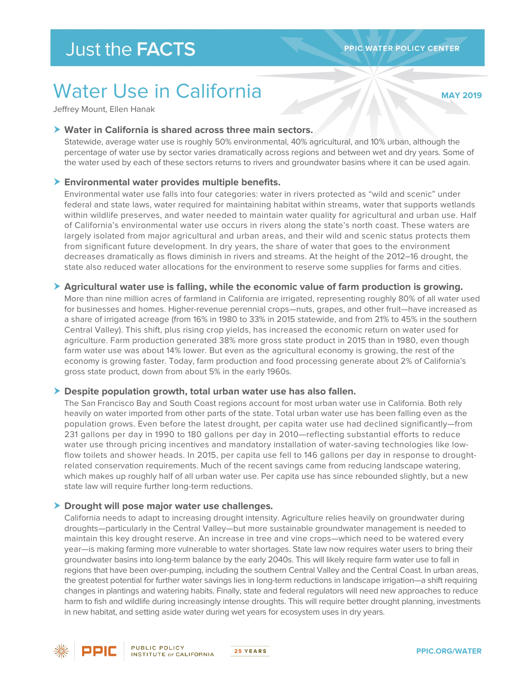# Water Use in California

**MAY 2019** 

Jeffrey Mount, Ellen Hanak

#### **Water in California is shared across three main sectors.**

Statewide, average water use is roughly 50% environmental, 40% agricultural, and 10% urban, although the percentage of water use by sector varies dramatically across regions and between wet and dry years. Some of the water used by each of these sectors returns to rivers and groundwater basins where it can be used again.

#### **Environmental water provides multiple benefits.**

Environmental water use falls into four categories: water in rivers protected as "wild and scenic" under federal and state laws, water required for maintaining habitat within streams, water that supports wetlands within wildlife preserves, and water needed to maintain water quality for agricultural and urban use. Half of California's environmental water use occurs in rivers along the state's north coast. These waters are largely isolated from major agricultural and urban areas, and their wild and scenic status protects them from significant future development. In dry years, the share of water that goes to the environment decreases dramatically as flows diminish in rivers and streams. At the height of the 2012–16 drought, the state also reduced water allocations for the environment to reserve some supplies for farms and cities.

#### **Agricultural water use is falling, while the economic value of farm production is growing.**

More than nine million acres of farmland in California are irrigated, representing roughly 80% of all water used for businesses and homes. Higher-revenue perennial crops—nuts, grapes, and other fruit—have increased as a share of irrigated acreage (from 16% in 1980 to 33% in 2015 statewide, and from 21% to 45% in the southern Central Valley). This shift, plus rising crop yields, has increased the economic return on water used for agriculture. Farm production generated 38% more gross state product in 2015 than in 1980, even though farm water use was about 14% lower. But even as the agricultural economy is growing, the rest of the economy is growing faster. Today, farm production and food processing generate about 2% of California's gross state product, down from about 5% in the early 1960s.

#### **Despite population growth, total urban water use has also fallen.**

The San Francisco Bay and South Coast regions account for most urban water use in California. Both rely heavily on water imported from other parts of the state. Total urban water use has been falling even as the population grows. Even before the latest drought, per capita water use had declined significantly—from 231 gallons per day in 1990 to 180 gallons per day in 2010—reflecting substantial efforts to reduce water use through pricing incentives and mandatory installation of water-saving technologies like lowflow toilets and shower heads. In 2015, per capita use fell to 146 gallons per day in response to droughtrelated conservation requirements. Much of the recent savings came from reducing landscape watering, which makes up roughly half of all urban water use. Per capita use has since rebounded slightly, but a new state law will require further long-term reductions.

#### **Drought will pose major water use challenges.**

California needs to adapt to increasing drought intensity. Agriculture relies heavily on groundwater during droughts—particularly in the Central Valley—but more sustainable groundwater management is needed to maintain this key drought reserve. An increase in tree and vine crops—which need to be watered every year—is making farming more vulnerable to water shortages. State law now requires water users to bring their groundwater basins into long-term balance by the early 2040s. This will likely require farm water use to fall in regions that have been over-pumping, including the southern Central Valley and the Central Coast. In urban areas, the greatest potential for further water savings lies in long-term reductions in landscape irrigation—a shift requiring changes in plantings and watering habits. Finally, state and federal regulators will need new approaches to reduce harm to fish and wildlife during increasingly intense droughts. This will require better drought planning, investments in new habitat, and setting aside water during wet years for ecosystem uses in dry years.



PPIC

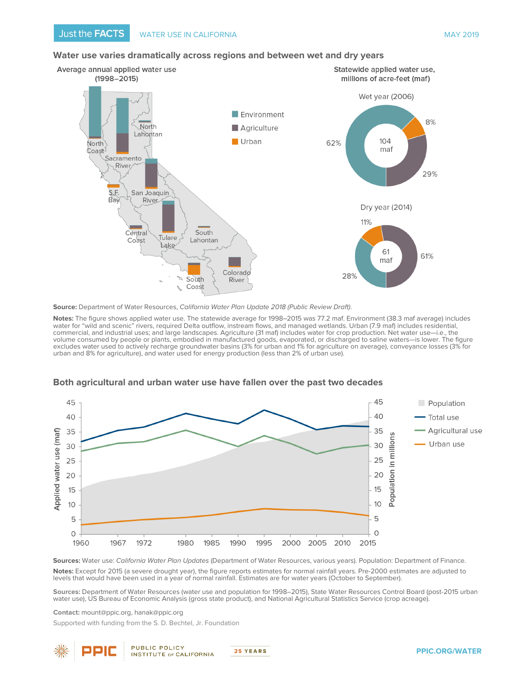#### **Water use varies dramatically across regions and between wet and dry years**



**Source:** Department of Water Resources, California Water Plan Update 2018 (Public Review Draft).

Notes: The figure shows applied water use. The statewide average for 1998–2015 was 77.2 maf. Environment (38.3 maf average) includes water for "wild and scenic" rivers, required Delta outflow, instream flows, and managed wetlands. Urban (7.9 maf) includes residential, commercial, and industrial uses; and large landscapes. Agriculture (31 maf) includes water for crop production. Net water use—i.e., the volume consumed by people or plants, embodied in manufactured goods, evaporated, or discharged to saline waters—is lower. The figure excludes water used to actively recharge groundwater basins (3% for urban and 1% for agriculture on average), conveyance losses (3% for urban and 8% for agriculture), and water used for energy production (less than 2% of urban use).



#### **Both agricultural and urban water use have fallen over the past two decades**

**Sources:** Water use: California Water Plan Updates (Department of Water Resources, various years). Population: Department of Finance. **Notes:** Except for 2015 (a severe drought year), the figure reports estimates for normal rainfall years. Pre-2000 estimates are adjusted to levels that would have been used in a year of normal rainfall. Estimates are for water years (October to September).

**Sources:** Department of Water Resources (water use and population for 1998–2015), State Water Resources Control Board (post-2015 urban water use), US Bureau of Economic Analysis (gross state product), and National Agricultural Statistics Service (crop acreage).

**Contact:** mount@ppic.org, hanak@ppic.org

ppir

Supported with funding from the S. D. Bechtel, Jr. Foundation



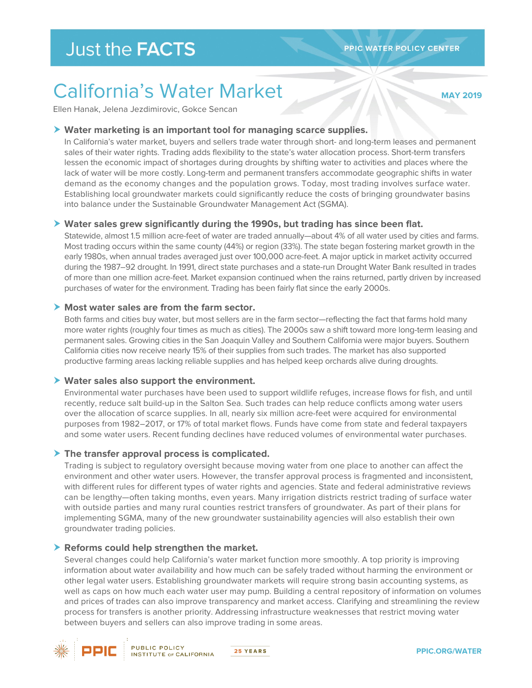**MAY 2019** 

# California's Water Market

Ellen Hanak, Jelena Jezdimirovic, Gokce Sencan

#### **Water marketing is an important tool for managing scarce supplies.**

In California's water market, buyers and sellers trade water through short- and long-term leases and permanent sales of their water rights. Trading adds flexibility to the state's water allocation process. Short-term transfers lessen the economic impact of shortages during droughts by shifting water to activities and places where the lack of water will be more costly. Long-term and permanent transfers accommodate geographic shifts in water demand as the economy changes and the population grows. Today, most trading involves surface water. Establishing local groundwater markets could significantly reduce the costs of bringing groundwater basins into balance under the Sustainable Groundwater Management Act (SGMA).

#### **Water sales grew significantly during the 1990s, but trading has since been flat.**

Statewide, almost 1.5 million acre-feet of water are traded annually—about 4% of all water used by cities and farms. Most trading occurs within the same county (44%) or region (33%). The state began fostering market growth in the early 1980s, when annual trades averaged just over 100,000 acre-feet. A major uptick in market activity occurred during the 1987–92 drought. In 1991, direct state purchases and a state-run Drought Water Bank resulted in trades of more than one million acre-feet. Market expansion continued when the rains returned, partly driven by increased purchases of water for the environment. Trading has been fairly flat since the early 2000s.

#### **Most water sales are from the farm sector.**

Both farms and cities buy water, but most sellers are in the farm sector—reflecting the fact that farms hold many more water rights (roughly four times as much as cities). The 2000s saw a shift toward more long-term leasing and permanent sales. Growing cities in the San Joaquin Valley and Southern California were major buyers. Southern California cities now receive nearly 15% of their supplies from such trades. The market has also supported productive farming areas lacking reliable supplies and has helped keep orchards alive during droughts.

#### **Water sales also support the environment.**

Environmental water purchases have been used to support wildlife refuges, increase flows for fish, and until recently, reduce salt build-up in the Salton Sea. Such trades can help reduce conflicts among water users over the allocation of scarce supplies. In all, nearly six million acre-feet were acquired for environmental purposes from 1982–2017, or 17% of total market flows. Funds have come from state and federal taxpayers and some water users. Recent funding declines have reduced volumes of environmental water purchases.

#### **The transfer approval process is complicated.**

Trading is subject to regulatory oversight because moving water from one place to another can affect the environment and other water users. However, the transfer approval process is fragmented and inconsistent, with different rules for different types of water rights and agencies. State and federal administrative reviews can be lengthy—often taking months, even years. Many irrigation districts restrict trading of surface water with outside parties and many rural counties restrict transfers of groundwater. As part of their plans for implementing SGMA, many of the new groundwater sustainability agencies will also establish their own groundwater trading policies.

#### **Reforms could help strengthen the market.**

Several changes could help California's water market function more smoothly. A top priority is improving information about water availability and how much can be safely traded without harming the environment or other legal water users. Establishing groundwater markets will require strong basin accounting systems, as well as caps on how much each water user may pump. Building a central repository of information on volumes and prices of trades can also improve transparency and market access. Clarifying and streamlining the review process for transfers is another priority. Addressing infrastructure weaknesses that restrict moving water between buyers and sellers can also improve trading in some areas.



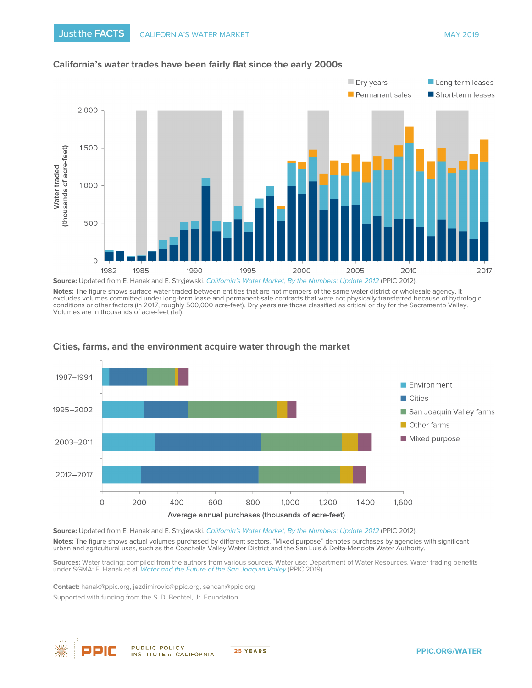

#### **California's water trades have been fairly flat since the early 2000s**

**Notes:** The figure shows surface water traded between entities that are not members of the same water district or wholesale agency. It excludes volumes committed under long-term lease and permanent-sale contracts that were not physically transferred because of hydrologic conditions or other factors (in 2017, roughly 500,000 acre-feet). Dry years are those classified as critical or dry for the Sacramento Valley. Volumes are in thousands of acre-feet (taf).



#### **Cities, farms, and the environment acquire water through the market**

**Source:** Updated from E. Hanak and E. Stryjewski. [California's Water Market, By the Numbers: Update 2012](https://www.ppic.org/publication/californias-water-market-by-the-numbers-update-2012/) (PPIC 2012). **Notes:** The figure shows actual volumes purchased by different sectors. "Mixed purpose" denotes purchases by agencies with significant urban and agricultural uses, such as the Coachella Valley Water District and the San Luis & Delta-Mendota Water Authority.

**Sources:** Water trading: compiled from the authors from various sources. Water use: Department of Water Resources. Water trading benefits under SGMA: E. Hanak et al. [Water and the Future of the San Joaquin Valley](https://www.ppic.org/publication/water-and-the-future-of-the-san-joaquin-valley/) (PPIC 2019).

 Supported with funding from th[e S. D. Bechtel, Jr. Foundation](http://www.sdbjrfoundation.org/) **Contact:** [hanak@ppic.org,](mailto:hanak@ppic.org) [jezdimirovic@ppic.org,](mailto:jezdimirovic@ppic.org) [sencan@ppic.org](mailto:sencan@ppic.org) 



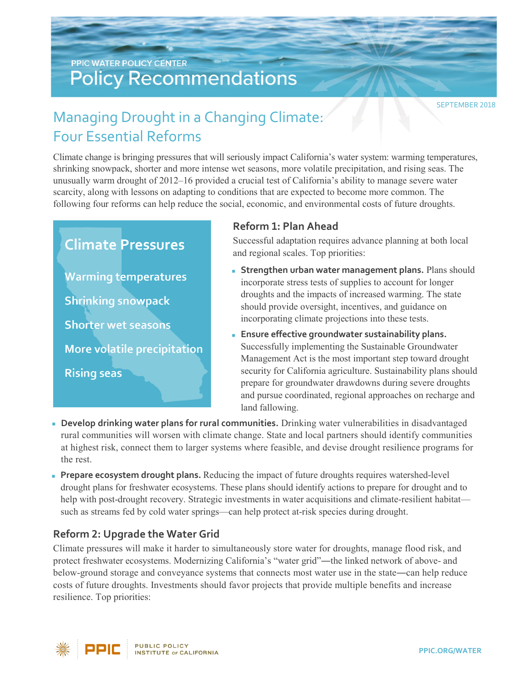## **PPIC WATER POLICY CENTER Policy Recommendations**

SEPTEMBER 2018

# Managing Drought in a Changing Climate: Four Essential Reforms

Climate change is bringing pressures that will seriously impact California's water system: warming temperatures, shrinking snowpack, shorter and more intense wet seasons, more volatile precipitation, and rising seas. The unusually warm drought of 2012–16 provided a crucial test of California's ability to manage severe water scarcity, along with lessons on adapting to conditions that are expected to become more common. The following four reforms can help reduce the social, economic, and environmental costs of future droughts.

# **Climate Pressures Warming temperatures Shrinking snowpack Shorter wet seasons** More volatile precipitation **Rising seas**

### **Reform 1: Plan Ahead**

Successful adaptation requires advance planning at both local and regional scales. Top priorities:

- **Strengthen urban water management plans.** Plans should incorporate stress tests of supplies to account for longer droughts and the impacts of increased warming. The state should provide oversight, incentives, and guidance on incorporating climate projections into these tests.
- **Ensure effective groundwater sustainability plans.** Successfully implementing the Sustainable Groundwater Management Act is the most important step toward drought security for California agriculture. Sustainability plans should prepare for groundwater drawdowns during severe droughts and pursue coordinated, regional approaches on recharge and land fallowing.
- **Develop drinking water plans for rural communities.** Drinking water vulnerabilities in disadvantaged rural communities will worsen with climate change. State and local partners should identify communities at highest risk, connect them to larger systems where feasible, and devise drought resilience programs for the rest.
- **Prepare ecosystem drought plans.** Reducing the impact of future droughts requires watershed-level drought plans for freshwater ecosystems. These plans should identify actions to prepare for drought and to help with post-drought recovery. Strategic investments in water acquisitions and climate-resilient habitat such as streams fed by cold water springs—can help protect at-risk species during drought.

### **Reform 2: Upgrade the Water Grid**

Climate pressures will make it harder to simultaneously store water for droughts, manage flood risk, and protect freshwater ecosystems. Modernizing California's "water grid"—the linked network of above- and below-ground storage and conveyance systems that connects most water use in the state―can help reduce costs of future droughts. Investments should favor projects that provide multiple benefits and increase resilience. Top priorities: